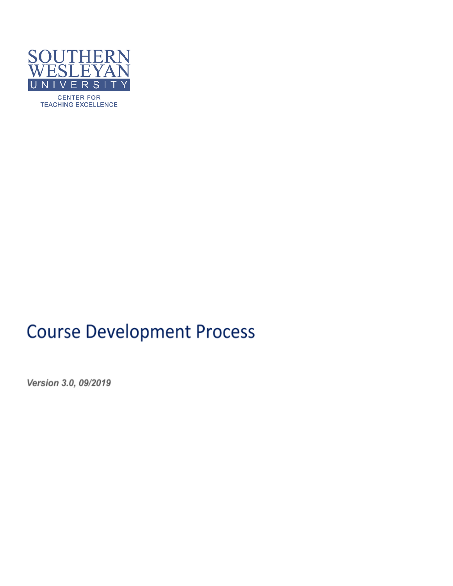

**TEACHING EXCELLENCE** 

## **Course Development Process**

Version 3.0, 09/2019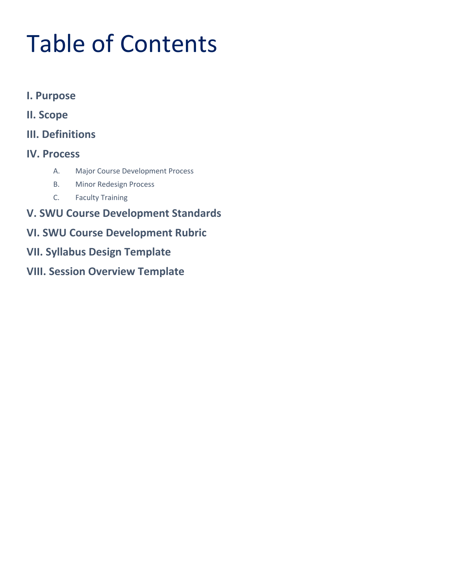# Table of Contents

- **I. [Purpose](#page-2-0)**
- **II. [Scope](#page-2-1)**
- **III. [Definitions](#page-2-2)**
- **IV. [Process](#page-3-0)**
	- [A.](#page-3-1) Major Course [Development](#page-3-1) Process
	- [B.](#page-3-2) Minor [Redesign](#page-3-2) Process
	- [C.](#page-3-3) Faculty [Training](#page-3-3)
- **V. SWU Course Development Standards**
- **VI. SWU Course Development Rubric**
- **VII. Syllabus Design [Template](#page-9-0)**
- **VIII. Session [Overview](#page-13-0) Template**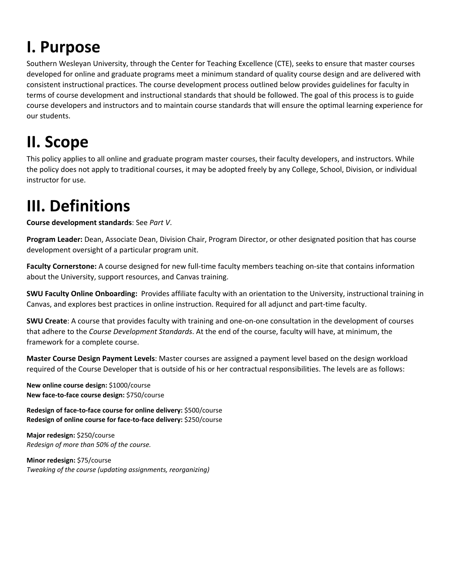## <span id="page-2-0"></span>**I. Purpose**

Southern Wesleyan University, through the Center for Teaching Excellence (CTE), seeks to ensure that master courses developed for online and graduate programs meet a minimum standard of quality course design and are delivered with consistent instructional practices. The course development process outlined below provides guidelines for faculty in terms of course development and instructional standards that should be followed. The goal of this process is to guide course developers and instructors and to maintain course standards that will ensure the optimal learning experience for our students.

## <span id="page-2-1"></span>**II. Scope**

This policy applies to all online and graduate program master courses, their faculty developers, and instructors. While the policy does not apply to traditional courses, it may be adopted freely by any College, School, Division, or individual instructor for use.

## <span id="page-2-2"></span>**III. Definitions**

**Course development standards**: See *Part V*.

**Program Leader:** Dean, Associate Dean, Division Chair, Program Director, or other designated position that has course development oversight of a particular program unit.

**Faculty Cornerstone:** A course designed for new full-time faculty members teaching on-site that contains information about the University, support resources, and Canvas training.

**SWU Faculty Online Onboarding:** Provides affiliate faculty with an orientation to the University, instructional training in Canvas, and explores best practices in online instruction. Required for all adjunct and part-time faculty.

**SWU Create**: A course that provides faculty with training and one-on-one consultation in the development of courses that adhere to the *Course Development Standards*. At the end of the course, faculty will have, at minimum, the framework for a complete course.

**Master Course Design Payment Levels**: Master courses are assigned a payment level based on the design workload required of the Course Developer that is outside of his or her contractual responsibilities. The levels are as follows:

**New online course design:** \$1000/course **New face-to-face course design:** \$750/course

**Redesign of face-to-face course for online delivery:** \$500/course **Redesign of online course for face-to-face delivery:** \$250/course

**Major redesign:** \$250/course *Redesign of more than 50% of the course.*

**Minor redesign:** \$75/course *Tweaking of the course (updating assignments, reorganizing)*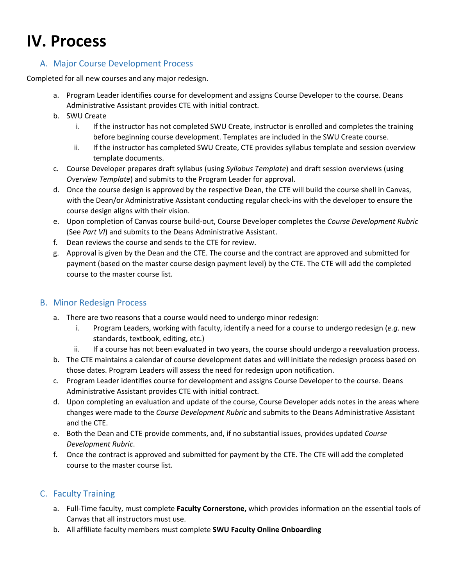## <span id="page-3-0"></span>**IV. Process**

#### <span id="page-3-1"></span>A. Major Course Development Process

Completed for all new courses and any major redesign.

- a. Program Leader identifies course for development and assigns Course Developer to the course. Deans Administrative Assistant provides CTE with initial contract.
- b. SWU Create
	- i. If the instructor has not completed SWU Create, instructor is enrolled and completes the training before beginning course development. Templates are included in the SWU Create course.
	- ii. If the instructor has completed SWU Create, CTE provides syllabus template and session overview template documents.
- c. Course Developer prepares draft syllabus (using *Syllabus Template*) and draft session overviews (using *Overview Template*) and submits to the Program Leader for approval.
- d. Once the course design is approved by the respective Dean, the CTE will build the course shell in Canvas, with the Dean/or Administrative Assistant conducting regular check-ins with the developer to ensure the course design aligns with their vision.
- e. Upon completion of Canvas course build-out, Course Developer completes the *Course Development Rubric* (See *Part VI*) and submits to the Deans Administrative Assistant.
- f. Dean reviews the course and sends to the CTE for review.
- g. Approval is given by the Dean and the CTE. The course and the contract are approved and submitted for payment (based on the master course design payment level) by the CTE. The CTE will add the completed course to the master course list.

#### <span id="page-3-2"></span>B. Minor Redesign Process

- a. There are two reasons that a course would need to undergo minor redesign:
	- i. Program Leaders, working with faculty, identify a need for a course to undergo redesign (*e.g.* new standards, textbook, editing, etc.)
	- ii. If a course has not been evaluated in two years, the course should undergo a reevaluation process.
- b. The CTE maintains a calendar of course development dates and will initiate the redesign process based on those dates. Program Leaders will assess the need for redesign upon notification.
- c. Program Leader identifies course for development and assigns Course Developer to the course. Deans Administrative Assistant provides CTE with initial contract.
- d. Upon completing an evaluation and update of the course, Course Developer adds notes in the areas where changes were made to the *Course Development Rubric* and submits to the Deans Administrative Assistant and the CTE.
- e. Both the Dean and CTE provide comments, and, if no substantial issues, provides updated *Course Development Rubric*.
- f. Once the contract is approved and submitted for payment by the CTE. The CTE will add the completed course to the master course list.

#### <span id="page-3-3"></span>C. Faculty Training

- a. Full-Time faculty, must complete **Faculty Cornerstone,** which provides information on the essential tools of Canvas that all instructors must use.
- b. All affiliate faculty members must complete **SWU Faculty Online Onboarding**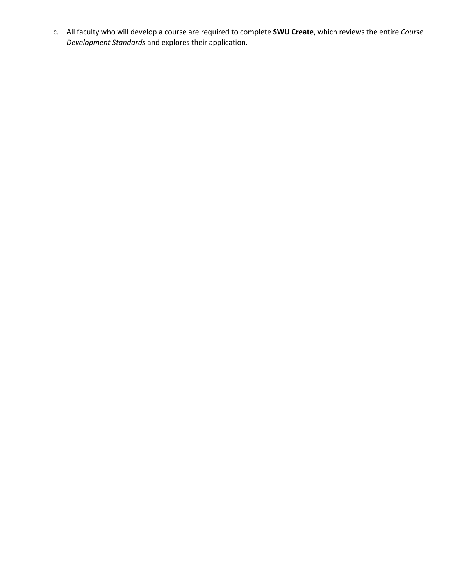c. All faculty who will develop a course are required to complete **SWU Create**, which reviews the entire *Course Development Standards* and explores their application.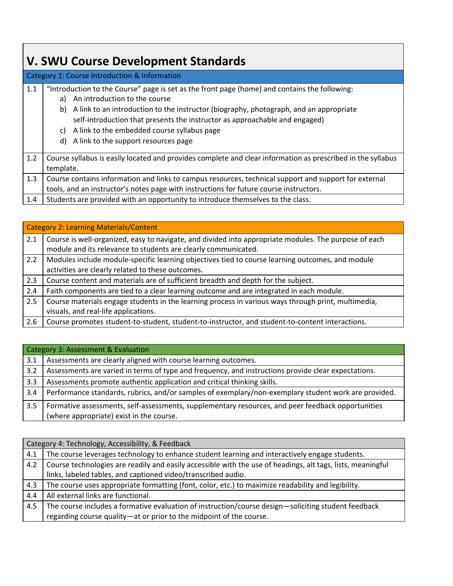## **V. SWU Course Development Standards**

| 1.1 | "Introduction to the Course" page is set as the front page (home) and contains the following:<br>a) An introduction to the course                                        |
|-----|--------------------------------------------------------------------------------------------------------------------------------------------------------------------------|
|     | b) A link to an introduction to the instructor (biography, photograph, and an appropriate<br>self-introduction that presents the instructor as approachable and engaged) |
|     | A link to the embedded course syllabus page<br>C)                                                                                                                        |
|     | d) A link to the support resources page                                                                                                                                  |
| 1.2 | Course syllabus is easily located and provides complete and clear information as prescribed in the syllabus<br>template.                                                 |
| 1.3 | Course contains information and links to campus resources, technical support and support for external                                                                    |
|     | tools, and an instructor's notes page with instructions for future course instructors.                                                                                   |
| 1.4 | Students are provided with an opportunity to introduce themselves to the class.                                                                                          |

|     | <b>Category 2: Learning Materials/Content</b>                                                         |
|-----|-------------------------------------------------------------------------------------------------------|
| 2.1 | Course is well-organized, easy to navigate, and divided into appropriate modules. The purpose of each |
|     | module and its relevance to students are clearly communicated.                                        |
| 2.2 | Modules include module-specific learning objectives tied to course learning outcomes, and module      |
|     | activities are clearly related to these outcomes.                                                     |
| 2.3 | Course content and materials are of sufficient breadth and depth for the subject.                     |
| 2.4 | Faith components are tied to a clear learning outcome and are integrated in each module.              |
| 2.5 | Course materials engage students in the learning process in various ways through print, multimedia,   |
|     | visuals, and real-life applications.                                                                  |
| 2.6 | Course promotes student-to-student, student-to-instructor, and student-to-content interactions.       |

|     | Category 3: Assessment & Evaluation                                                                                                           |
|-----|-----------------------------------------------------------------------------------------------------------------------------------------------|
| 3.1 | Assessments are clearly aligned with course learning outcomes.                                                                                |
| 3.2 | Assessments are varied in terms of type and frequency, and instructions provide clear expectations.                                           |
| 3.3 | Assessments promote authentic application and critical thinking skills.                                                                       |
| 3.4 | Performance standards, rubrics, and/or samples of exemplary/non-exemplary student work are provided.                                          |
| 3.5 | Formative assessments, self-assessments, supplementary resources, and peer feedback opportunities<br>(where appropriate) exist in the course. |

|     | Category 4: Technology, Accessibility, & Feedback                                                           |  |  |  |
|-----|-------------------------------------------------------------------------------------------------------------|--|--|--|
| 4.1 | The course leverages technology to enhance student learning and interactively engage students.              |  |  |  |
| 4.2 | Course technologies are readily and easily accessible with the use of headings, alt tags, lists, meaningful |  |  |  |
|     | links, labeled tables, and captioned video/transcribed audio.                                               |  |  |  |
| 4.3 | The course uses appropriate formatting (font, color, etc.) to maximize readability and legibility.          |  |  |  |
| 4.4 | All external links are functional.                                                                          |  |  |  |
| 4.5 | The course includes a formative evaluation of instruction/course design—soliciting student feedback         |  |  |  |
|     | regarding course quality-at or prior to the midpoint of the course.                                         |  |  |  |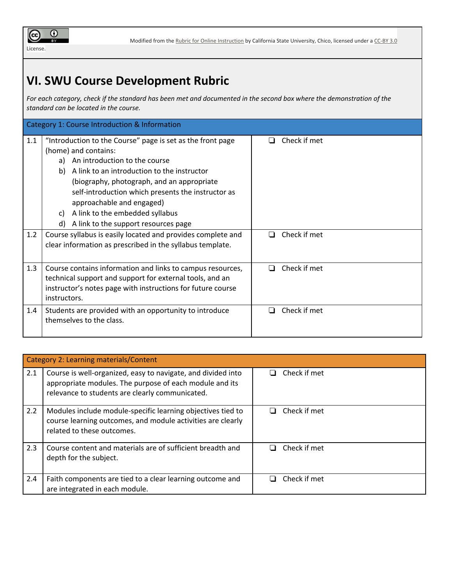

## **VI. SWU Course Development Rubric**

For each category, check if the standard has been met and documented in the second box where the demonstration of the *standard can be located in the course.*

|     | Category 1: Course Introduction & Information                                                                                                                                                                                                                                                                                                                                                       |                                |
|-----|-----------------------------------------------------------------------------------------------------------------------------------------------------------------------------------------------------------------------------------------------------------------------------------------------------------------------------------------------------------------------------------------------------|--------------------------------|
| 1.1 | "Introduction to the Course" page is set as the front page<br>(home) and contains:<br>a) An introduction to the course<br>A link to an introduction to the instructor<br>b)<br>(biography, photograph, and an appropriate<br>self-introduction which presents the instructor as<br>approachable and engaged)<br>A link to the embedded syllabus<br>C)<br>A link to the support resources page<br>d) | Check if met<br>$\blacksquare$ |
| 1.2 | Course syllabus is easily located and provides complete and<br>clear information as prescribed in the syllabus template.                                                                                                                                                                                                                                                                            | Check if met<br>□              |
| 1.3 | Course contains information and links to campus resources,<br>technical support and support for external tools, and an<br>instructor's notes page with instructions for future course<br>instructors.                                                                                                                                                                                               | Check if met<br>П              |
| 1.4 | Students are provided with an opportunity to introduce<br>themselves to the class.                                                                                                                                                                                                                                                                                                                  | Check if met<br>$\blacksquare$ |

|     | Category 2: Learning materials/Content                                                                                                                                     |              |  |
|-----|----------------------------------------------------------------------------------------------------------------------------------------------------------------------------|--------------|--|
| 2.1 | Course is well-organized, easy to navigate, and divided into<br>appropriate modules. The purpose of each module and its<br>relevance to students are clearly communicated. | Check if met |  |
| 2.2 | Modules include module-specific learning objectives tied to<br>course learning outcomes, and module activities are clearly<br>related to these outcomes.                   | Check if met |  |
| 2.3 | Course content and materials are of sufficient breadth and<br>depth for the subject.                                                                                       | Check if met |  |
| 2.4 | Faith components are tied to a clear learning outcome and<br>are integrated in each module.                                                                                | Check if met |  |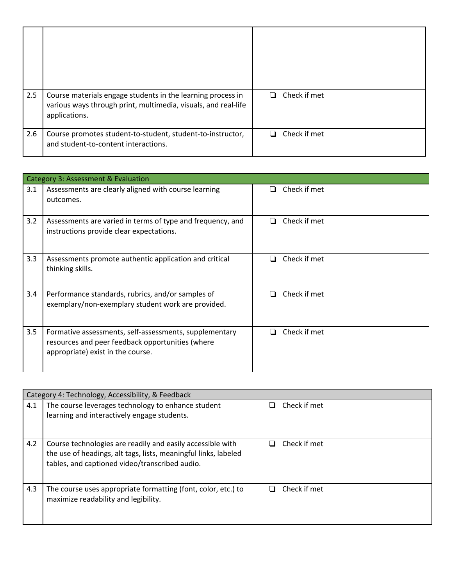| 2.5 | Course materials engage students in the learning process in<br>various ways through print, multimedia, visuals, and real-life<br>applications. | Check if met<br>$\mathbf{L}$ |
|-----|------------------------------------------------------------------------------------------------------------------------------------------------|------------------------------|
| 2.6 | Course promotes student-to-student, student-to-instructor,<br>and student-to-content interactions.                                             | Check if met<br>l 1          |

|     | Category 3: Assessment & Evaluation                                                                                                             |                     |
|-----|-------------------------------------------------------------------------------------------------------------------------------------------------|---------------------|
| 3.1 | Assessments are clearly aligned with course learning<br>outcomes.                                                                               | Check if met<br>- 1 |
| 3.2 | Assessments are varied in terms of type and frequency, and<br>instructions provide clear expectations.                                          | Check if met        |
| 3.3 | Assessments promote authentic application and critical<br>thinking skills.                                                                      | Check if met<br>- 1 |
| 3.4 | Performance standards, rubrics, and/or samples of<br>exemplary/non-exemplary student work are provided.                                         | Check if met        |
| 3.5 | Formative assessments, self-assessments, supplementary<br>resources and peer feedback opportunities (where<br>appropriate) exist in the course. | Check if met        |

|     | Category 4: Technology, Accessibility, & Feedback                                                                                                                               |                   |
|-----|---------------------------------------------------------------------------------------------------------------------------------------------------------------------------------|-------------------|
| 4.1 | The course leverages technology to enhance student<br>learning and interactively engage students.                                                                               | Check if met      |
|     |                                                                                                                                                                                 |                   |
| 4.2 | Course technologies are readily and easily accessible with<br>the use of headings, alt tags, lists, meaningful links, labeled<br>tables, and captioned video/transcribed audio. | Check if met<br>H |
| 4.3 | The course uses appropriate formatting (font, color, etc.) to<br>maximize readability and legibility.                                                                           | Check if met      |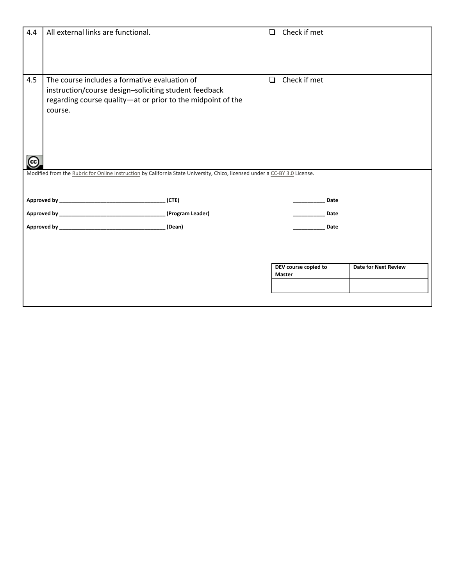| 4.4       | All external links are functional.                                                                                                                                               |                  | ◘      | Check if met                   |                             |
|-----------|----------------------------------------------------------------------------------------------------------------------------------------------------------------------------------|------------------|--------|--------------------------------|-----------------------------|
| 4.5       | The course includes a formative evaluation of<br>instruction/course design-soliciting student feedback<br>regarding course quality-at or prior to the midpoint of the<br>course. |                  | $\Box$ | Check if met                   |                             |
| $\left( $ | Modified from the Rubric for Online Instruction by California State University, Chico, licensed under a CC-BY 3.0 License.                                                       |                  |        |                                |                             |
|           |                                                                                                                                                                                  | (CTE)            |        | Date                           |                             |
|           |                                                                                                                                                                                  | (Program Leader) |        | Date                           |                             |
|           |                                                                                                                                                                                  |                  |        | Date                           |                             |
|           |                                                                                                                                                                                  |                  |        | DEV course copied to<br>Master | <b>Date for Next Review</b> |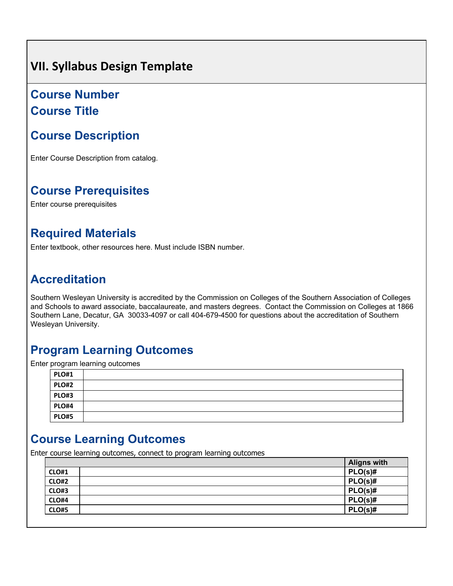## <span id="page-9-0"></span>**VII. Syllabus Design Template**

## **Course Number Course Title**

## **Course Description**

Enter Course Description from catalog.

## **Course Prerequisites**

Enter course prerequisites

## **Required Materials**

Enter textbook, other resources here. Must include ISBN number.

## **Accreditation**

Southern Wesleyan University is accredited by the Commission on Colleges of the Southern Association of Colleges and Schools to award associate, baccalaureate, and masters degrees. Contact the Commission on Colleges at 1866 Southern Lane, Decatur, GA 30033-4097 or call 404-679-4500 for questions about the accreditation of Southern Wesleyan University.

## **Program Learning Outcomes**

Enter program learning outcomes

| <b>PLO#1</b> |  |
|--------------|--|
| <b>PLO#2</b> |  |
| <b>PLO#3</b> |  |
| <b>PLO#4</b> |  |
| <b>PLO#5</b> |  |

## **Course Learning Outcomes**

Enter course learning outcomes, connect to program learning outcomes

|              | <b>Aligns with</b> |
|--------------|--------------------|
| <b>CLO#1</b> | $PLO(s)$ #         |
| CLO#2        | $PLO(s)$ #         |
| CLO#3        | $PLO(s)$ #         |
| CLO#4        | $PLO(s)$ #         |
| <b>CLO#5</b> | $PLO(s)$ #         |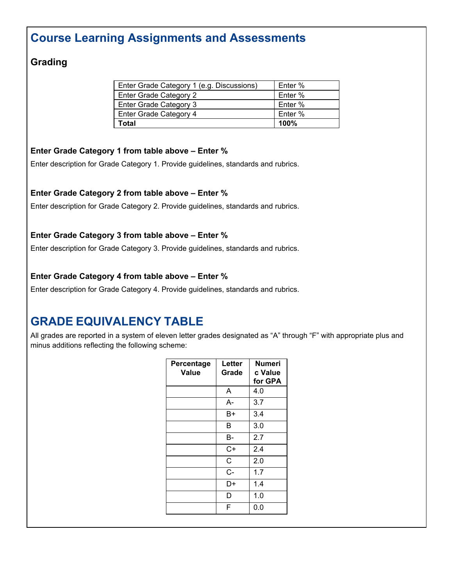## **Course Learning Assignments and Assessments**

### **Grading**

| Enter Grade Category 1 (e.g. Discussions) | Enter % |
|-------------------------------------------|---------|
| Enter Grade Category 2                    | Enter % |
| Enter Grade Category 3                    | Enter % |
| Enter Grade Category 4                    | Enter % |
| Total                                     | 100%    |

#### **Enter Grade Category 1 from table above – Enter %**

Enter description for Grade Category 1. Provide guidelines, standards and rubrics.

#### **Enter Grade Category 2 from table above – Enter %**

Enter description for Grade Category 2. Provide guidelines, standards and rubrics.

#### **Enter Grade Category 3 from table above – Enter %**

Enter description for Grade Category 3. Provide guidelines, standards and rubrics.

#### **Enter Grade Category 4 from table above – Enter %**

Enter description for Grade Category 4. Provide guidelines, standards and rubrics.

## **GRADE EQUIVALENCY TABLE**

All grades are reported in a system of eleven letter grades designated as "A" through "F" with appropriate plus and minus additions reflecting the following scheme:

| Percentage<br>Value | Letter<br>Grade | <b>Numeri</b><br>c Value<br>for GPA |
|---------------------|-----------------|-------------------------------------|
|                     | A               | 4.0                                 |
|                     | А-              | 3.7                                 |
|                     | B+              | 3.4                                 |
|                     | в               | 3.0                                 |
|                     | В-              | 2.7                                 |
|                     | C+              | 2.4                                 |
|                     | C               | 2.0                                 |
|                     | $C -$           | 1.7                                 |
|                     | D+              | 1.4                                 |
|                     | D               | 1.0                                 |
|                     | F               | 0.0                                 |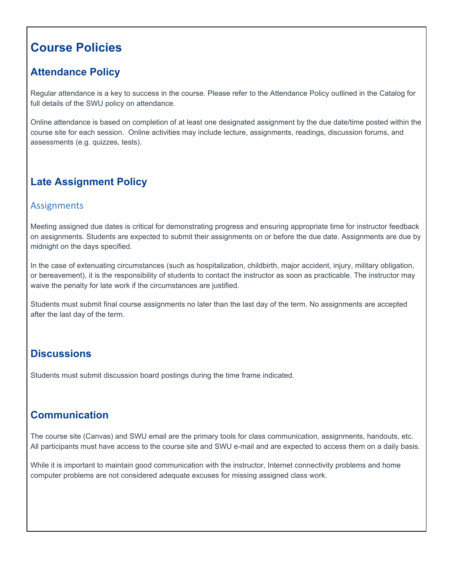## **Course Policies**

## **Attendance Policy**

Regular attendance is a key to success in the course. Please refer to the Attendance Policy outlined in the Catalog for full details of the SWU policy on attendance.

Online attendance is based on completion of at least one designated assignment by the due date/time posted within the course site for each session. Online activities may include lecture, assignments, readings, discussion forums, and assessments (e.g. quizzes, tests).

## **Late Assignment Policy**

#### Assignments

Meeting assigned due dates is critical for demonstrating progress and ensuring appropriate time for instructor feedback on assignments. Students are expected to submit their assignments on or before the due date. Assignments are due by midnight on the days specified.

In the case of extenuating circumstances (such as hospitalization, childbirth, major accident, injury, military obligation, or bereavement), it is the responsibility of students to contact the instructor as soon as practicable. The instructor may waive the penalty for late work if the circumstances are justified.

Students must submit final course assignments no later than the last day of the term. No assignments are accepted after the last day of the term.

## **Discussions**

Students must submit discussion board postings during the time frame indicated.

### **Communication**

The course site (Canvas) and SWU email are the primary tools for class communication, assignments, handouts, etc. All participants must have access to the course site and SWU e-mail and are expected to access them on a daily basis.

While it is important to maintain good communication with the instructor, Internet connectivity problems and home computer problems are not considered adequate excuses for missing assigned class work.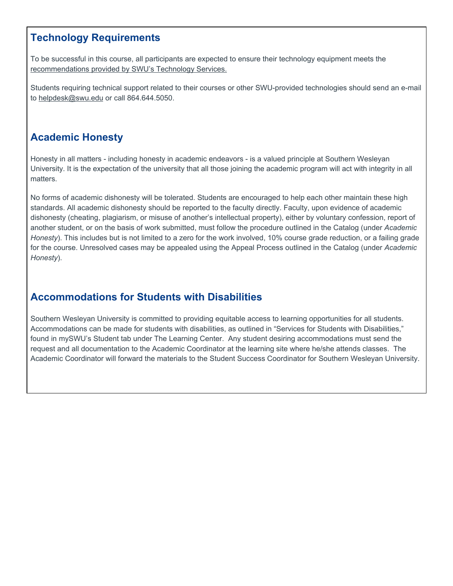### **Technology Requirements**

To be successful in this course, all participants are expected to ensure their technology equipment meets the recommendations provided by SWU's Technology Services.

Students requiring technical support related to their courses or other SWU-provided technologies should send an e-mail to helpdesk@swu.edu or call 864.644.5050.

### **Academic Honesty**

Honesty in all matters - including honesty in academic endeavors - is a valued principle at Southern Wesleyan University. It is the expectation of the university that all those joining the academic program will act with integrity in all matters.

No forms of academic dishonesty will be tolerated. Students are encouraged to help each other maintain these high standards. All academic dishonesty should be reported to the faculty directly. Faculty, upon evidence of academic dishonesty (cheating, plagiarism, or misuse of another's intellectual property), either by voluntary confession, report of another student, or on the basis of work submitted, must follow the procedure outlined in the Catalog (under *Academic Honesty*). This includes but is not limited to a zero for the work involved, 10% course grade reduction, or a failing grade for the course. Unresolved cases may be appealed using the Appeal Process outlined in the Catalog (under *Academic Honesty*).

### **Accommodations for Students with Disabilities**

Southern Wesleyan University is committed to providing equitable access to learning opportunities for all students. Accommodations can be made for students with disabilities, as outlined in "Services for Students with Disabilities," found in mySWU's Student tab under The Learning Center. Any student desiring accommodations must send the request and all documentation to the Academic Coordinator at the learning site where he/she attends classes. The Academic Coordinator will forward the materials to the Student Success Coordinator for Southern Wesleyan University.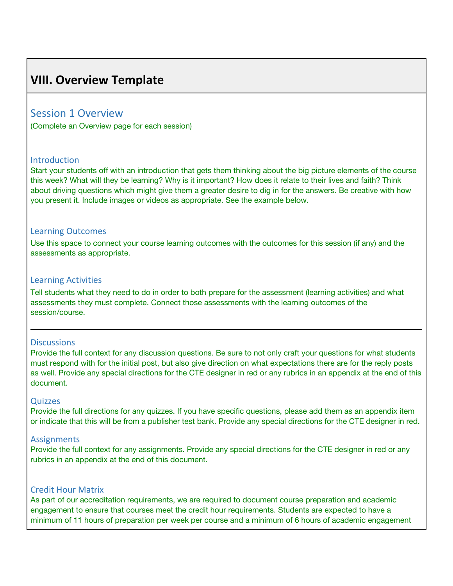## <span id="page-13-0"></span>**VIII. Overview Template**

#### Session 1 Overview

(Complete an Overview page for each session)

#### **Introduction**

Start your students off with an introduction that gets them thinking about the big picture elements of the course this week? What will they be learning? Why is it important? How does it relate to their lives and faith? Think about driving questions which might give them a greater desire to dig in for the answers. Be creative with how you present it. Include images or videos as appropriate. See the example below.

#### Learning Outcomes

Use this space to connect your course learning outcomes with the outcomes for this session (if any) and the assessments as appropriate.

#### Learning Activities

Tell students what they need to do in order to both prepare for the assessment (learning activities) and what assessments they must complete. Connect those assessments with the learning outcomes of the session/course.

#### **Discussions**

Provide the full context for any discussion questions. Be sure to not only craft your questions for what students must respond with for the initial post, but also give direction on what expectations there are for the reply posts as well. Provide any special directions for the CTE designer in red or any rubrics in an appendix at the end of this document.

#### **Quizzes**

Provide the full directions for any quizzes. If you have specific questions, please add them as an appendix item or indicate that this will be from a publisher test bank. Provide any special directions for the CTE designer in red.

#### **Assignments**

Provide the full context for any assignments. Provide any special directions for the CTE designer in red or any rubrics in an appendix at the end of this document.

#### Credit Hour Matrix

As part of our accreditation requirements, we are required to document course preparation and academic engagement to ensure that courses meet the credit hour requirements. Students are expected to have a minimum of 11 hours of preparation per week per course and a minimum of 6 hours of academic engagement